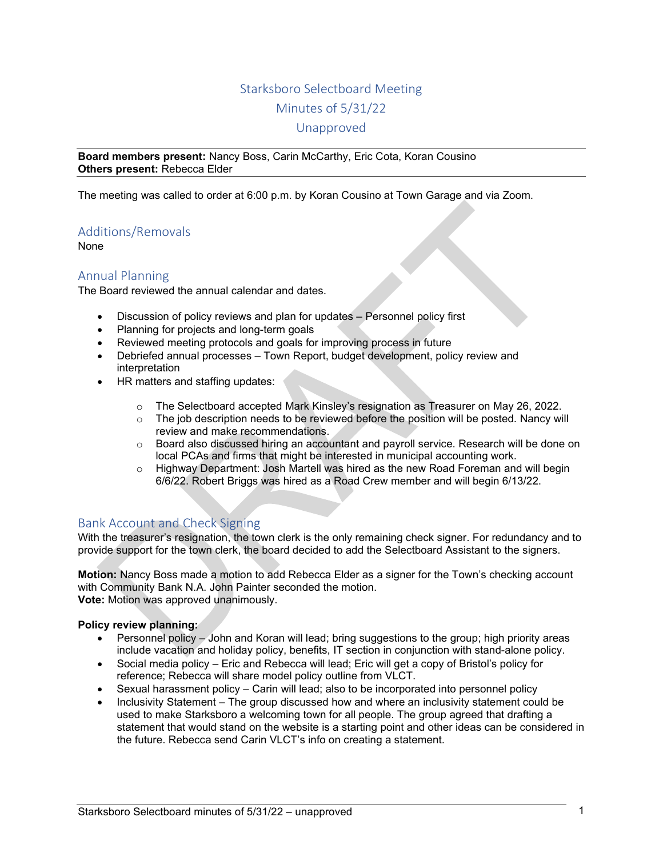# Starksboro Selectboard Meeting Minutes of 5/31/22 Unapproved

**Board members present:** Nancy Boss, Carin McCarthy, Eric Cota, Koran Cousino **Others present:** Rebecca Elder

The meeting was called to order at 6:00 p.m. by Koran Cousino at Town Garage and via Zoom.

## Additions/Removals

None

## Annual Planning

The Board reviewed the annual calendar and dates.

- Discussion of policy reviews and plan for updates Personnel policy first
- Planning for projects and long-term goals
- Reviewed meeting protocols and goals for improving process in future
- Debriefed annual processes Town Report, budget development, policy review and interpretation
- HR matters and staffing updates:
	- o The Selectboard accepted Mark Kinsley's resignation as Treasurer on May 26, 2022.
	- $\circ$  The job description needs to be reviewed before the position will be posted. Nancy will review and make recommendations.
	- $\circ$  Board also discussed hiring an accountant and payroll service. Research will be done on local PCAs and firms that might be interested in municipal accounting work.
	- $\circ$  Highway Department: Josh Martell was hired as the new Road Foreman and will begin 6/6/22. Robert Briggs was hired as a Road Crew member and will begin 6/13/22.

## Bank Account and Check Signing

With the treasurer's resignation, the town clerk is the only remaining check signer. For redundancy and to provide support for the town clerk, the board decided to add the Selectboard Assistant to the signers.

**Motion:** Nancy Boss made a motion to add Rebecca Elder as a signer for the Town's checking account with Community Bank N.A. John Painter seconded the motion. **Vote:** Motion was approved unanimously.

**Policy review planning:** 

- Personnel policy John and Koran will lead; bring suggestions to the group; high priority areas include vacation and holiday policy, benefits, IT section in conjunction with stand-alone policy.
- Social media policy Eric and Rebecca will lead; Eric will get a copy of Bristol's policy for reference; Rebecca will share model policy outline from VLCT.
- Sexual harassment policy Carin will lead; also to be incorporated into personnel policy
- Inclusivity Statement The group discussed how and where an inclusivity statement could be used to make Starksboro a welcoming town for all people. The group agreed that drafting a statement that would stand on the website is a starting point and other ideas can be considered in the future. Rebecca send Carin VLCT's info on creating a statement.